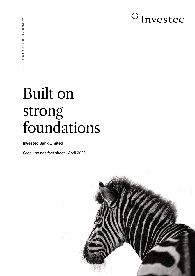

# Built on strong foundations

## **Investec Bank Limited**

Credit ratings fact sheet - April 2022

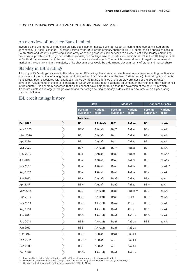#### CONTEXTUALISING INVESTEC BANK LIMITED'S RATINGS - April 2022

## An overview of Investec Bank Limited

Investec Bank Limited (IBL) is the main banking subsidiary of Investec Limited (South African holding company listed on the Johannesburg Stock Exchange). Investec Limited owns 100% of the ordinary shares in IBL. IBL operates as a specialist bank in South Africa and Mauritius, providing a wide array of banking products and services to a niche client base, largely comprising professional private clients, high net worth individuals, mid-to-large size corporates and institutions. IBL is the fifth largest bank in South Africa, as measured in terms of size of on balance sheet assets. The bank however, does not target the mass-retail market in the country and in the majority of its chosen niches would be a dominant player in terms of brand and market share.

### Stability in IBL's ratings

A history of IBL's ratings is shown in the table below. IBL's ratings have remained stable over many years reflecting the financial soundness of the bank over a long period of time (see key financial metrics of the bank further below). Past rating adjustments have largely been associated with changes in views by the rating agencies of the credit worthiness of the South African sovereign. Adjustments in the sovereign rating of South Africa lead to an automatic adjustment in the ratings of the major banks in the country. It is generally accepted that a bank cannot have a higher rating than the sovereign of the country in which it operates, unless it is largely foreign-owned and the foreign holding company is domiciled in a country with a higher rating than South Africa.

## IBL credit ratings history

|                 | <b>Fitch</b>         |                          | Moody's              |                          | <b>Standard &amp; Poors</b> |                          |  |
|-----------------|----------------------|--------------------------|----------------------|--------------------------|-----------------------------|--------------------------|--|
|                 | Foreign<br>currency* | <b>National</b><br>scale | Foreign<br>currency* | <b>National</b><br>scale | Foreign<br>currency*        | <b>National</b><br>scale |  |
|                 | Long-term            |                          |                      |                          |                             |                          |  |
| <b>Dec 2020</b> | BB-                  | $AA + (zaf)$             | Ba <sub>2</sub>      | Aa1.za                   | BB-                         | za.AA                    |  |
| Nov 2020        | $BB-0$               | AA(zaf)                  | Ba2^                 | Aa1.za                   | BB-                         | za.AA                    |  |
| May 2020        | BB                   | AA(zaf)                  | Ba1                  | Aa1.za                   | BB-^                        | za.AA                    |  |
| Apr 2020        | BB                   | AA(zaf)                  | Ba1                  | Aa1.za                   | BB                          | za.AA                    |  |
| Mar 2020        | BB <sup>^</sup>      | AA-(zaf)                 | Ba1^                 | Aa1.za                   | BB                          | za.AA                    |  |
| Nov 2019        | BB+                  | AA(zaf)                  | Baa3                 | Aa1.za                   | BB                          | za.AA^                   |  |
| <b>Jul 2018</b> | BB+                  | AA(zaf)                  | Baa3                 | Aa1.za                   | BB                          | za.AA+                   |  |
| Nov 2017        | BB+                  | AA(zaf)                  | Baa3                 | Aa1.za                   | BB <sup>^</sup>             | za.AA-^                  |  |
| Aug 2017        | BB+                  | AA(zaf)                  | Baa3                 | Aa1.za                   | BB+                         | za.AA                    |  |
| Jun 2017        | BB+                  | AA(zaf)                  | Baa3^                | Aa1.za                   | BB+                         | za.A                     |  |
| Apr 2017        | $BB+^$               | AA(zaf)                  | Baa2                 | Aa1.za                   | BB+^                        | za.A                     |  |
| May 2016        | BBB-                 | $AA-(zaf)$               | Baa2                 | Aa1.za**                 | BBB-                        | za.AA-                   |  |
| Dec 2015        | BBB-                 | $AA-(zaf)$               | Baa2                 | A1.za                    | BBB-                        | za.AA-                   |  |
| Nov 2014        | BBB-                 | AA-(zaf)                 | Baa2                 | A1.za                    | BBB-                        | za.AA                    |  |
| Aug 2014        | BBB-                 | $AA-(zaf)$               | Baa1                 | A1.za                    | BBB-                        | za.AA                    |  |
| Jun 2014        | BBB-                 | $AA-(zaf)$               | Baa1                 | Aa3.za                   | BBB-                        | za.AA                    |  |
| Feb 2014        | BBB-                 | $AA-(zaf)$               | Baa1                 | Aa3.za                   | <b>BBB</b>                  | za.AA                    |  |
| Jan 2013        | BBB-                 | $AA-(zaf)$               | Baa1                 | Aa3.za                   |                             |                          |  |
| Oct 2012        | BBB-                 | $A + (zaf)$              | Baa1^                | Aa3.za                   |                             |                          |  |
| Feb 2012        | BBB-^                | $A + (zaf)$              | A3                   | Aa2.za                   |                             |                          |  |
| Dec 2009        | <b>BBB</b>           | $A + (zaf)$              | A3                   | Aa2.za                   |                             |                          |  |
| Dec 2007        | BBB+                 | $AA-(zaf)$               | Baa1                 | Aa2.za                   |                             |                          |  |

\* Investec Bank Limited's latest foreign and local/domestic currency credit ratings are identical.

National long-term deposit rating change due to the repositioning of the national scale ratings by Moody's.

^ Changes reflect downgrades of the sovereign rating of South Africa.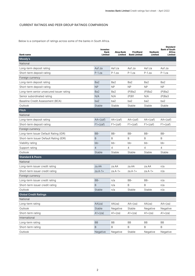#### CURRENT RATINGS AND PEER GROUP RATINGS COMPARISON

Below is a comparison of ratings across some of the banks in South Africa.

| <b>Bank name</b>                         | Investec<br>Bank<br>Limited | Absa Bank<br>Limited | <b>FirstRand</b><br><b>Bank Limited</b> | <b>Nedbank</b><br>Limited | <b>Standard</b><br><b>Bank of South</b><br>Africa<br>Limited |
|------------------------------------------|-----------------------------|----------------------|-----------------------------------------|---------------------------|--------------------------------------------------------------|
| Moody's                                  |                             |                      |                                         |                           |                                                              |
| National                                 |                             |                      |                                         |                           |                                                              |
| Long-term deposit rating                 | Aa1.za                      | Aa1.za               | Aa1.za                                  | Aa $1za$                  | Aa1.za                                                       |
| Short-term deposit rating                | $P-1.za$                    | $P-1.$ za            | $P-1$ .za                               | P-1.za                    | $P-1$ .za                                                    |
| Foreign currency                         |                             |                      |                                         |                           |                                                              |
| Long-term deposit rating                 | Ba2                         | Ba <sub>2</sub>      | Ba <sub>2</sub>                         | Ba2                       | Ba2                                                          |
| Short-term deposit rating                | <b>NP</b>                   | <b>NP</b>            | <b>NP</b>                               | <b>NP</b>                 | <b>NP</b>                                                    |
| Long-term senior unsecured issuer rating | Ba <sub>2</sub>             | Ba2                  | $(P)$ Ba2                               | $(P)$ Ba2                 | $(P)$ Ba2                                                    |
| Senior subordinated rating               | N/A                         | N/A                  | (P)B1                                   | N/A                       | $(P)$ Ba3                                                    |
| Baseline Credit Assessment (BCA)         | ba2                         | ba2                  | ba2                                     | ba2                       | ba2                                                          |
| Outlook                                  | Stable                      | Stable               | Stable                                  | Stable                    | Stable                                                       |
| <b>Fitch</b>                             |                             |                      |                                         |                           |                                                              |
| National                                 |                             |                      |                                         |                           |                                                              |
| Long-term deposit rating                 | $AA + (zaf)$                | $AA + (zaf)$         | $AA + (zaf)$                            | $AA + (zaf)$              | $AA + (zaf)$                                                 |
| Short-term deposit rating                | $F1+(zaf)$                  | $F1+(zaf)$           | $F1+(zaf)$                              | $F1+(zaf)$                | $F1+(zaf)$                                                   |
| Foreign currency                         |                             |                      |                                         |                           |                                                              |
| Long-term Issuer Default Rating (IDR)    | $BB-$                       | BB-                  | $BB-$                                   | BB-                       | BB-                                                          |
| Short-term Issuer Default Rating (IDR)   | B                           | B                    | B                                       | B                         | B                                                            |
| Viability rating                         | $bb -$                      | $bb -$               | $bb -$                                  | bb-                       | bb-                                                          |
| Support rating                           | 4                           | 4                    | 4                                       | 4                         | 4                                                            |
| Outlook                                  | Stable                      | Stable               | Stable                                  | Stable                    | Stable                                                       |
| <b>Standard &amp; Poors</b>              |                             |                      |                                         |                           |                                                              |
| National                                 |                             |                      |                                         |                           |                                                              |
| Long-term issuer credit rating           | za.AA                       | za.AA                | za.AA                                   | za.AA                     | n/a                                                          |
| Short-term issuer credit rating          | $za.A-1+$                   | $za.A-1+$            | $za.A-1+$                               | $za.A-1+$                 | n/a                                                          |
| Foreign currency                         |                             |                      |                                         |                           |                                                              |
| Long-term issuer credit rating           | BB-                         | n/a                  | BB-                                     | BB-                       | n/a                                                          |
| Short-term issuer credit rating          | B                           | n/a                  | B                                       | B                         | n/a                                                          |
| Outlook                                  | Stable                      | n/a                  | Stable                                  | Stable                    | n/a                                                          |
| <b>Global Credit Ratings</b>             |                             |                      |                                         |                           |                                                              |
| National                                 |                             |                      |                                         |                           |                                                              |
| Long-term rating                         | AA(za)                      | AA(za)               | $AA+(za)$                               | AA(za)                    | $AA+(za)$                                                    |
| Outlook                                  | Stable                      | Negative             | Stable                                  | Negative                  | Negative                                                     |
| Short-term rating                        | $A1+(za)$                   | $A1+(za)$            | $A1+(za)$                               | $A1+(za)$                 | $A1+(za)$                                                    |
| International                            |                             |                      |                                         |                           |                                                              |
| Long-term rating                         | <b>BB</b>                   | BB                   | BB                                      | <b>BB</b>                 | BB                                                           |
| Short-term rating                        | $\sf B$                     | B                    | B                                       | B                         | B                                                            |
| Outlook                                  | Negative                    | Negative             | Stable                                  | Negative                  | Negative                                                     |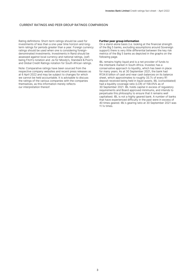#### CURRENT RATINGS AND PEER GROUP RATINGS COMPARISON

Rating definitions: Short-term ratings should be used for investments of less than a one-year time horizon and longterm ratings for periods greater than a year. Foreign currency ratings should be used when one is considering foreigndenominated investments. Investments in Rand should be assessed against local currency and national ratings, (zaf) being Fitch's notation and .za for Moody's, Standard & Poor's and Global Credit Ratings notation for South African ratings.

Note: Comparative ratings have been sourced from the respective company websites and recent press releases as at 6 April 2022 and may be subject to changes for which we cannot be held accountable. It is advisable to discuss the ratings of the various companies with the companies themselves, as this information merely reflects our interpretation thereof.

#### **Further peer group information**

On a stand-alone basis (i.e. looking at the financial strength of the Big 5 banks, excluding assumptions around Sovereign support) there is very little differential between the key risk metrics of the Big 5 banks as depicted in the graphs on the following page.

IBL remains highly liquid and is a net provider of funds to the interbank market in South Africa. Investec has a conservative approach to liquidity, which has been in place for many years. As at 30 September 2021, the bank had R134.6 billion of cash and near cash balances on its balance sheet, which approximates to roughly 33.7c of every R1 deposit received being held in liquid assets. IBL (consolidated) had a liquidity coverage ratio (LCR) of 158.0%% as of 30 September 2021. IBL holds capital in excess of regulatory requirements and Board approved minimums, and intends to perpetuate this philosophy to ensure that it remains well capitalised. IBL is not a highly geared bank. A number of banks that have experienced difficulty in the past were in excess of 40 times geared. IBL's gearing ratio at 30 September 2021 was 11.1x times.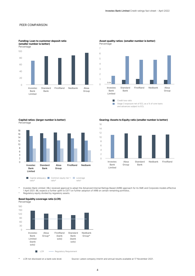#### PEER COMPARISON

**Funding: Loan to customer deposit ratio** 

**(smaller number is better)** Percentage Investec Bank Limited Standard Bank FirstRand Nedbank Absa Group 0 20  $40$ 60 80 100



## **Asset quality ratios: (smaller number is better)**

 $\mathcal{C}^{\mathcal{A}}$ Stage 3 exposure net of ECL as a % of core loans and advances subject to ECL

**Capital ratios: (larger number is better)** Percentage



**Gearing: Assets to Equity ratio (smaller number is better)**



hvestec Bank Limited ( IBL) received approval to adopt the Advanced Internal Ratings Based (AIRB) approach for its SME and Corporate models effective \* 1 April 2021. IBL expects a further uplift to CET1 on further adoption

^ Regulatory equity divided by regulatory assets.

## **Basel liquidity coverage ratio (LCR)**

Percentage



\* LCR not disclosed on a bank solo level. Source: Latest company interim and annual results available at 17 November 2021.